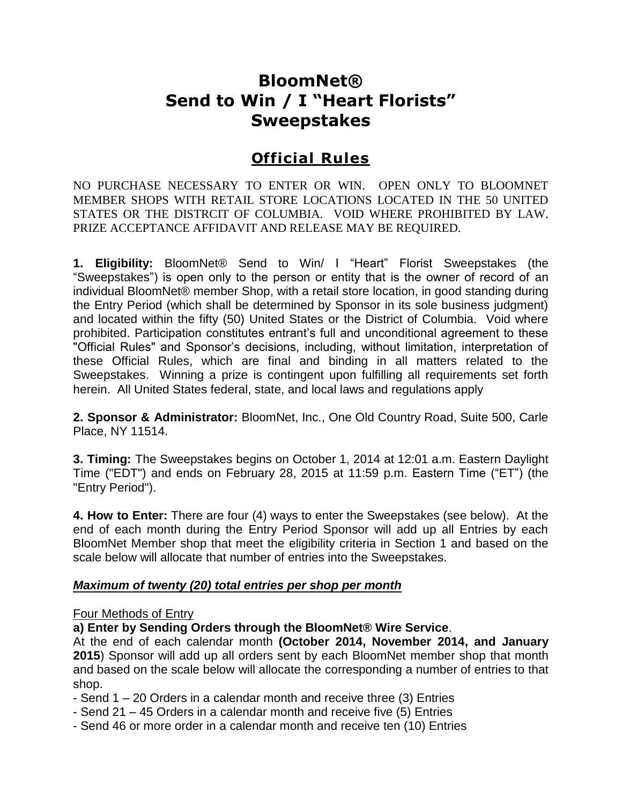# **BloomNet® Send to Win / I "Heart Florists" Sweepstakes**

# **Official Rules**

NO PURCHASE NECESSARY TO ENTER OR WIN. OPEN ONLY TO BLOOMNET MEMBER SHOPS WITH RETAIL STORE LOCATIONS LOCATED IN THE 50 UNITED STATES OR THE DISTRCIT OF COLUMBIA. VOID WHERE PROHIBITED BY LAW. PRIZE ACCEPTANCE AFFIDAVIT AND RELEASE MAY BE REQUIRED.

**1. Eligibility:** BloomNet® Send to Win/ I "Heart" Florist Sweepstakes (the "Sweepstakes") is open only to the person or entity that is the owner of record of an individual BloomNet® member Shop, with a retail store location, in good standing during the Entry Period (which shall be determined by Sponsor in its sole business judgment) and located within the fifty (50) United States or the District of Columbia. Void where prohibited. Participation constitutes entrant's full and unconditional agreement to these "Official Rules" and Sponsor's decisions, including, without limitation, interpretation of these Official Rules, which are final and binding in all matters related to the Sweepstakes. Winning a prize is contingent upon fulfilling all requirements set forth herein. All United States federal, state, and local laws and regulations apply

**2. Sponsor & Administrator:** BloomNet, Inc., One Old Country Road, Suite 500, Carle Place, NY 11514.

**3. Timing:** The Sweepstakes begins on October 1, 2014 at 12:01 a.m. Eastern Daylight Time ("EDT") and ends on February 28, 2015 at 11:59 p.m. Eastern Time ("ET") (the "Entry Period").

**4. How to Enter:** There are four (4) ways to enter the Sweepstakes (see below). At the end of each month during the Entry Period Sponsor will add up all Entries by each BloomNet Member shop that meet the eligibility criteria in Section 1 and based on the scale below will allocate that number of entries into the Sweepstakes.

#### *Maximum of twenty (20) total entries per shop per month*

#### Four Methods of Entry

**a) Enter by Sending Orders through the BloomNet® Wire Service**.

At the end of each calendar month **(October 2014, November 2014, and January 2015**) Sponsor will add up all orders sent by each BloomNet member shop that month and based on the scale below will allocate the corresponding a number of entries to that shop.

- Send 1 20 Orders in a calendar month and receive three (3) Entries
- Send 21 45 Orders in a calendar month and receive five (5) Entries
- Send 46 or more order in a calendar month and receive ten (10) Entries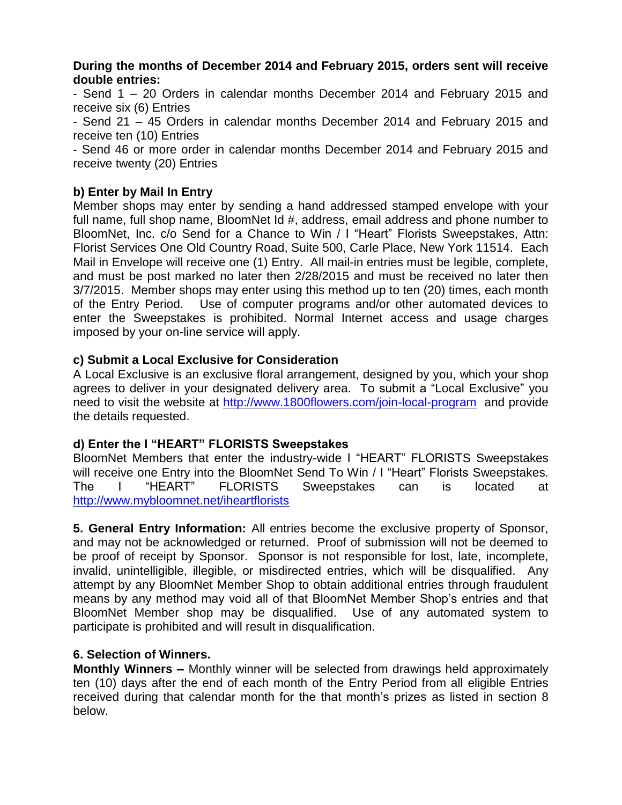#### **During the months of December 2014 and February 2015, orders sent will receive double entries:**

- Send 1 – 20 Orders in calendar months December 2014 and February 2015 and receive six (6) Entries

- Send 21 – 45 Orders in calendar months December 2014 and February 2015 and receive ten (10) Entries

- Send 46 or more order in calendar months December 2014 and February 2015 and receive twenty (20) Entries

### **b) Enter by Mail In Entry**

Member shops may enter by sending a hand addressed stamped envelope with your full name, full shop name, BloomNet Id #, address, email address and phone number to BloomNet, Inc. c/o Send for a Chance to Win / I "Heart" Florists Sweepstakes, Attn: Florist Services One Old Country Road, Suite 500, Carle Place, New York 11514. Each Mail in Envelope will receive one (1) Entry. All mail-in entries must be legible, complete, and must be post marked no later then 2/28/2015 and must be received no later then 3/7/2015. Member shops may enter using this method up to ten (20) times, each month of the Entry Period. Use of computer programs and/or other automated devices to enter the Sweepstakes is prohibited. Normal Internet access and usage charges imposed by your on-line service will apply.

#### **c) Submit a Local Exclusive for Consideration**

A Local Exclusive is an exclusive floral arrangement, designed by you, which your shop agrees to deliver in your designated delivery area. To submit a "Local Exclusive" you need to visit the website at <http://www.1800flowers.com/join-local-program> and provide the details requested.

#### **d) Enter the I "HEART" FLORISTS Sweepstakes**

BloomNet Members that enter the industry-wide I "HEART" FLORISTS Sweepstakes will receive one Entry into the BloomNet Send To Win / I "Heart" Florists Sweepstakes. The I "HEART" FLORISTS Sweepstakes can is located at <http://www.mybloomnet.net/iheartflorists>

**5. General Entry Information:** All entries become the exclusive property of Sponsor, and may not be acknowledged or returned. Proof of submission will not be deemed to be proof of receipt by Sponsor. Sponsor is not responsible for lost, late, incomplete, invalid, unintelligible, illegible, or misdirected entries, which will be disqualified. Any attempt by any BloomNet Member Shop to obtain additional entries through fraudulent means by any method may void all of that BloomNet Member Shop's entries and that BloomNet Member shop may be disqualified. Use of any automated system to participate is prohibited and will result in disqualification.

#### **6. Selection of Winners.**

**Monthly Winners –** Monthly winner will be selected from drawings held approximately ten (10) days after the end of each month of the Entry Period from all eligible Entries received during that calendar month for the that month's prizes as listed in section 8 below.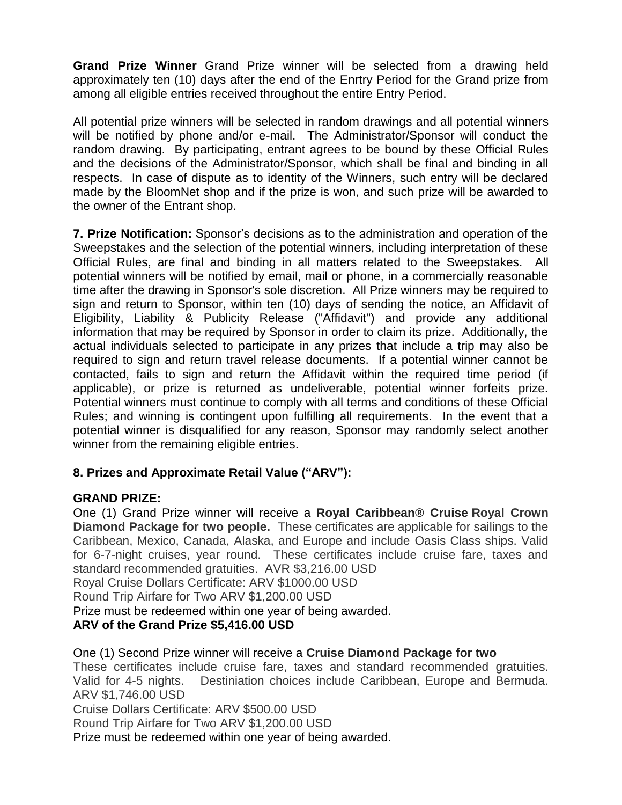**Grand Prize Winner** Grand Prize winner will be selected from a drawing held approximately ten (10) days after the end of the Enrtry Period for the Grand prize from among all eligible entries received throughout the entire Entry Period.

All potential prize winners will be selected in random drawings and all potential winners will be notified by phone and/or e-mail. The Administrator/Sponsor will conduct the random drawing. By participating, entrant agrees to be bound by these Official Rules and the decisions of the Administrator/Sponsor, which shall be final and binding in all respects. In case of dispute as to identity of the Winners, such entry will be declared made by the BloomNet shop and if the prize is won, and such prize will be awarded to the owner of the Entrant shop.

**7. Prize Notification:** Sponsor's decisions as to the administration and operation of the Sweepstakes and the selection of the potential winners, including interpretation of these Official Rules, are final and binding in all matters related to the Sweepstakes. All potential winners will be notified by email, mail or phone, in a commercially reasonable time after the drawing in Sponsor's sole discretion. All Prize winners may be required to sign and return to Sponsor, within ten (10) days of sending the notice, an Affidavit of Eligibility, Liability & Publicity Release ("Affidavit") and provide any additional information that may be required by Sponsor in order to claim its prize. Additionally, the actual individuals selected to participate in any prizes that include a trip may also be required to sign and return travel release documents. If a potential winner cannot be contacted, fails to sign and return the Affidavit within the required time period (if applicable), or prize is returned as undeliverable, potential winner forfeits prize. Potential winners must continue to comply with all terms and conditions of these Official Rules; and winning is contingent upon fulfilling all requirements. In the event that a potential winner is disqualified for any reason, Sponsor may randomly select another winner from the remaining eligible entries.

# **8. Prizes and Approximate Retail Value ("ARV"):**

#### **GRAND PRIZE:**

One (1) Grand Prize winner will receive a **Royal Caribbean® Cruise Royal Crown Diamond Package for two people.** These certificates are applicable for sailings to the Caribbean, Mexico, Canada, Alaska, and Europe and include Oasis Class ships. Valid for 6-7-night cruises, year round. These certificates include cruise fare, taxes and standard recommended gratuities. AVR \$3,216.00 USD Royal Cruise Dollars Certificate: ARV \$1000.00 USD Round Trip Airfare for Two ARV \$1,200.00 USD

Prize must be redeemed within one year of being awarded.

# **ARV of the Grand Prize \$5,416.00 USD**

One (1) Second Prize winner will receive a **Cruise Diamond Package for two**  These certificates include cruise fare, taxes and standard recommended gratuities. Valid for 4-5 nights. Destiniation choices include Caribbean, Europe and Bermuda. ARV \$1,746.00 USD Cruise Dollars Certificate: ARV \$500.00 USD Round Trip Airfare for Two ARV \$1,200.00 USD

Prize must be redeemed within one year of being awarded.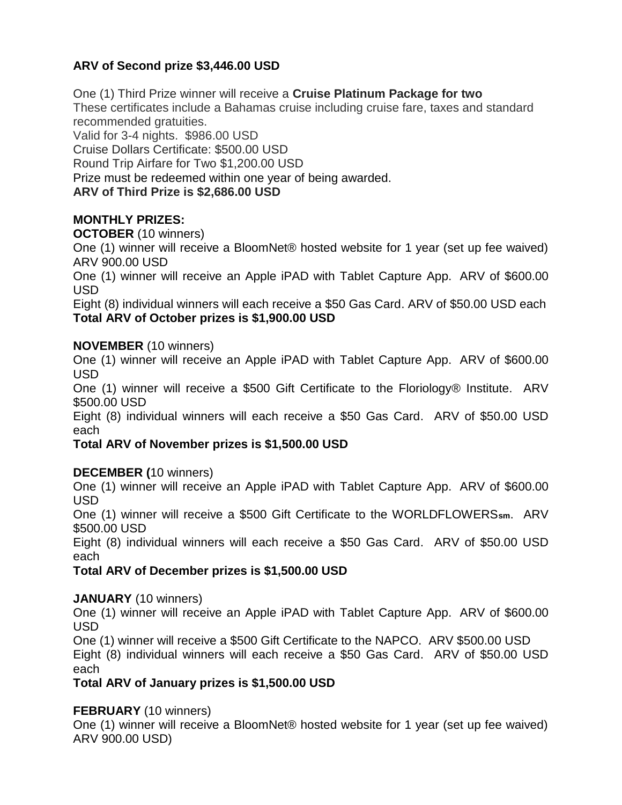# **ARV of Second prize \$3,446.00 USD**

One (1) Third Prize winner will receive a **Cruise Platinum Package for two**  These certificates include a Bahamas cruise including cruise fare, taxes and standard recommended gratuities. Valid for 3-4 nights. \$986.00 USD Cruise Dollars Certificate: \$500.00 USD

Round Trip Airfare for Two \$1,200.00 USD

Prize must be redeemed within one year of being awarded.

#### **ARV of Third Prize is \$2,686.00 USD**

# **MONTHLY PRIZES:**

#### **OCTOBER** (10 winners)

One (1) winner will receive a BloomNet® hosted website for 1 year (set up fee waived) ARV 900.00 USD

One (1) winner will receive an Apple iPAD with Tablet Capture App. ARV of \$600.00 USD

Eight (8) individual winners will each receive a \$50 Gas Card. ARV of \$50.00 USD each **Total ARV of October prizes is \$1,900.00 USD**

#### **NOVEMBER** (10 winners)

One (1) winner will receive an Apple iPAD with Tablet Capture App. ARV of \$600.00 USD

One (1) winner will receive a \$500 Gift Certificate to the Floriology® Institute. ARV \$500.00 USD

Eight (8) individual winners will each receive a \$50 Gas Card. ARV of \$50.00 USD each

#### **Total ARV of November prizes is \$1,500.00 USD**

#### **DECEMBER (**10 winners)

One (1) winner will receive an Apple iPAD with Tablet Capture App. ARV of \$600.00 USD

One (1) winner will receive a \$500 Gift Certificate to the WORLDFLOWERS**sm**. ARV \$500.00 USD

Eight (8) individual winners will each receive a \$50 Gas Card. ARV of \$50.00 USD each

#### **Total ARV of December prizes is \$1,500.00 USD**

#### **JANUARY** (10 winners)

One (1) winner will receive an Apple iPAD with Tablet Capture App. ARV of \$600.00 USD

One (1) winner will receive a \$500 Gift Certificate to the NAPCO. ARV \$500.00 USD Eight (8) individual winners will each receive a \$50 Gas Card. ARV of \$50.00 USD each

#### **Total ARV of January prizes is \$1,500.00 USD**

#### **FEBRUARY** (10 winners)

One (1) winner will receive a BloomNet® hosted website for 1 year (set up fee waived) ARV 900.00 USD)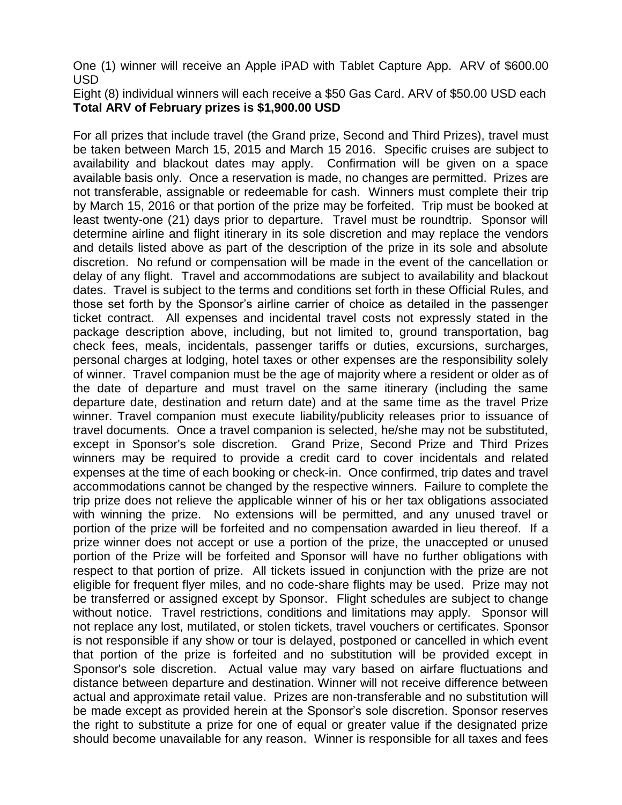One (1) winner will receive an Apple iPAD with Tablet Capture App. ARV of \$600.00 USD

Eight (8) individual winners will each receive a \$50 Gas Card. ARV of \$50.00 USD each **Total ARV of February prizes is \$1,900.00 USD**

For all prizes that include travel (the Grand prize, Second and Third Prizes), travel must be taken between March 15, 2015 and March 15 2016. Specific cruises are subject to availability and blackout dates may apply. Confirmation will be given on a space available basis only. Once a reservation is made, no changes are permitted. Prizes are not transferable, assignable or redeemable for cash. Winners must complete their trip by March 15, 2016 or that portion of the prize may be forfeited. Trip must be booked at least twenty-one (21) days prior to departure. Travel must be roundtrip. Sponsor will determine airline and flight itinerary in its sole discretion and may replace the vendors and details listed above as part of the description of the prize in its sole and absolute discretion. No refund or compensation will be made in the event of the cancellation or delay of any flight. Travel and accommodations are subject to availability and blackout dates. Travel is subject to the terms and conditions set forth in these Official Rules, and those set forth by the Sponsor's airline carrier of choice as detailed in the passenger ticket contract. All expenses and incidental travel costs not expressly stated in the package description above, including, but not limited to, ground transportation, bag check fees, meals, incidentals, passenger tariffs or duties, excursions, surcharges, personal charges at lodging, hotel taxes or other expenses are the responsibility solely of winner. Travel companion must be the age of majority where a resident or older as of the date of departure and must travel on the same itinerary (including the same departure date, destination and return date) and at the same time as the travel Prize winner. Travel companion must execute liability/publicity releases prior to issuance of travel documents. Once a travel companion is selected, he/she may not be substituted, except in Sponsor's sole discretion. Grand Prize, Second Prize and Third Prizes winners may be required to provide a credit card to cover incidentals and related expenses at the time of each booking or check-in. Once confirmed, trip dates and travel accommodations cannot be changed by the respective winners. Failure to complete the trip prize does not relieve the applicable winner of his or her tax obligations associated with winning the prize. No extensions will be permitted, and any unused travel or portion of the prize will be forfeited and no compensation awarded in lieu thereof. If a prize winner does not accept or use a portion of the prize, the unaccepted or unused portion of the Prize will be forfeited and Sponsor will have no further obligations with respect to that portion of prize. All tickets issued in conjunction with the prize are not eligible for frequent flyer miles, and no code-share flights may be used. Prize may not be transferred or assigned except by Sponsor. Flight schedules are subject to change without notice. Travel restrictions, conditions and limitations may apply.Sponsor will not replace any lost, mutilated, or stolen tickets, travel vouchers or certificates. Sponsor is not responsible if any show or tour is delayed, postponed or cancelled in which event that portion of the prize is forfeited and no substitution will be provided except in Sponsor's sole discretion. Actual value may vary based on airfare fluctuations and distance between departure and destination. Winner will not receive difference between actual and approximate retail value. Prizes are non-transferable and no substitution will be made except as provided herein at the Sponsor's sole discretion. Sponsor reserves the right to substitute a prize for one of equal or greater value if the designated prize should become unavailable for any reason. Winner is responsible for all taxes and fees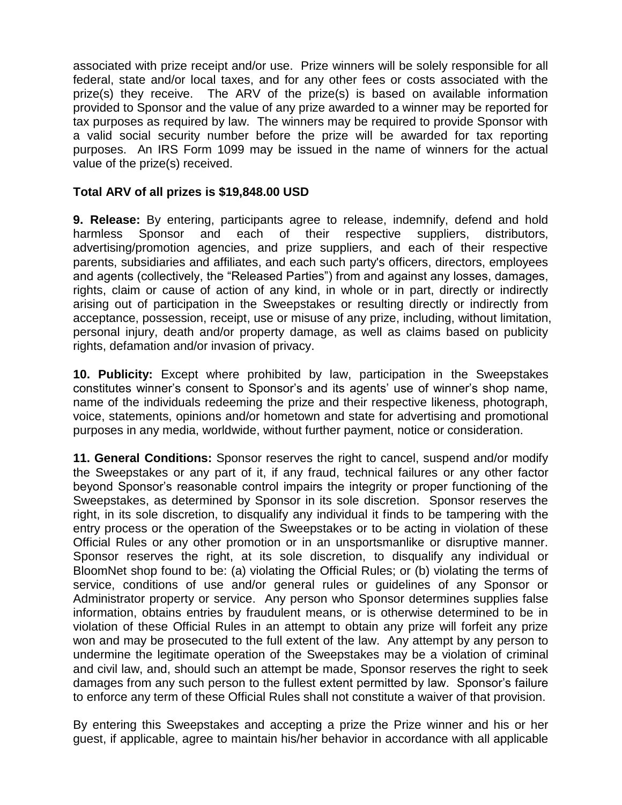associated with prize receipt and/or use. Prize winners will be solely responsible for all federal, state and/or local taxes, and for any other fees or costs associated with the prize(s) they receive. The ARV of the prize(s) is based on available information provided to Sponsor and the value of any prize awarded to a winner may be reported for tax purposes as required by law. The winners may be required to provide Sponsor with a valid social security number before the prize will be awarded for tax reporting purposes. An IRS Form 1099 may be issued in the name of winners for the actual value of the prize(s) received.

#### **Total ARV of all prizes is \$19,848.00 USD**

**9. Release:** By entering, participants agree to release, indemnify, defend and hold harmless Sponsor and each of their respective suppliers, distributors, advertising/promotion agencies, and prize suppliers, and each of their respective parents, subsidiaries and affiliates, and each such party's officers, directors, employees and agents (collectively, the "Released Parties") from and against any losses, damages, rights, claim or cause of action of any kind, in whole or in part, directly or indirectly arising out of participation in the Sweepstakes or resulting directly or indirectly from acceptance, possession, receipt, use or misuse of any prize, including, without limitation, personal injury, death and/or property damage, as well as claims based on publicity rights, defamation and/or invasion of privacy.

**10. Publicity:** Except where prohibited by law, participation in the Sweepstakes constitutes winner's consent to Sponsor's and its agents' use of winner's shop name, name of the individuals redeeming the prize and their respective likeness, photograph, voice, statements, opinions and/or hometown and state for advertising and promotional purposes in any media, worldwide, without further payment, notice or consideration.

**11. General Conditions:** Sponsor reserves the right to cancel, suspend and/or modify the Sweepstakes or any part of it, if any fraud, technical failures or any other factor beyond Sponsor's reasonable control impairs the integrity or proper functioning of the Sweepstakes, as determined by Sponsor in its sole discretion. Sponsor reserves the right, in its sole discretion, to disqualify any individual it finds to be tampering with the entry process or the operation of the Sweepstakes or to be acting in violation of these Official Rules or any other promotion or in an unsportsmanlike or disruptive manner. Sponsor reserves the right, at its sole discretion, to disqualify any individual or BloomNet shop found to be: (a) violating the Official Rules; or (b) violating the terms of service, conditions of use and/or general rules or guidelines of any Sponsor or Administrator property or service. Any person who Sponsor determines supplies false information, obtains entries by fraudulent means, or is otherwise determined to be in violation of these Official Rules in an attempt to obtain any prize will forfeit any prize won and may be prosecuted to the full extent of the law. Any attempt by any person to undermine the legitimate operation of the Sweepstakes may be a violation of criminal and civil law, and, should such an attempt be made, Sponsor reserves the right to seek damages from any such person to the fullest extent permitted by law. Sponsor's failure to enforce any term of these Official Rules shall not constitute a waiver of that provision.

By entering this Sweepstakes and accepting a prize the Prize winner and his or her guest, if applicable, agree to maintain his/her behavior in accordance with all applicable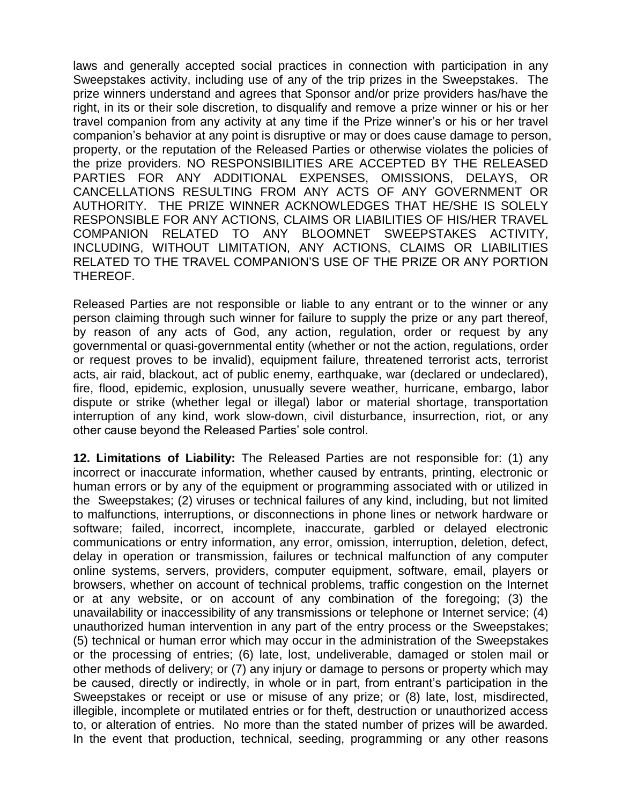laws and generally accepted social practices in connection with participation in any Sweepstakes activity, including use of any of the trip prizes in the Sweepstakes. The prize winners understand and agrees that Sponsor and/or prize providers has/have the right, in its or their sole discretion, to disqualify and remove a prize winner or his or her travel companion from any activity at any time if the Prize winner's or his or her travel companion's behavior at any point is disruptive or may or does cause damage to person, property, or the reputation of the Released Parties or otherwise violates the policies of the prize providers. NO RESPONSIBILITIES ARE ACCEPTED BY THE RELEASED PARTIES FOR ANY ADDITIONAL EXPENSES, OMISSIONS, DELAYS, OR CANCELLATIONS RESULTING FROM ANY ACTS OF ANY GOVERNMENT OR AUTHORITY. THE PRIZE WINNER ACKNOWLEDGES THAT HE/SHE IS SOLELY RESPONSIBLE FOR ANY ACTIONS, CLAIMS OR LIABILITIES OF HIS/HER TRAVEL COMPANION RELATED TO ANY BLOOMNET SWEEPSTAKES ACTIVITY, INCLUDING, WITHOUT LIMITATION, ANY ACTIONS, CLAIMS OR LIABILITIES RELATED TO THE TRAVEL COMPANION'S USE OF THE PRIZE OR ANY PORTION THEREOF.

Released Parties are not responsible or liable to any entrant or to the winner or any person claiming through such winner for failure to supply the prize or any part thereof, by reason of any acts of God, any action, regulation, order or request by any governmental or quasi-governmental entity (whether or not the action, regulations, order or request proves to be invalid), equipment failure, threatened terrorist acts, terrorist acts, air raid, blackout, act of public enemy, earthquake, war (declared or undeclared), fire, flood, epidemic, explosion, unusually severe weather, hurricane, embargo, labor dispute or strike (whether legal or illegal) labor or material shortage, transportation interruption of any kind, work slow-down, civil disturbance, insurrection, riot, or any other cause beyond the Released Parties' sole control.

**12. Limitations of Liability:** The Released Parties are not responsible for: (1) any incorrect or inaccurate information, whether caused by entrants, printing, electronic or human errors or by any of the equipment or programming associated with or utilized in the Sweepstakes; (2) viruses or technical failures of any kind, including, but not limited to malfunctions, interruptions, or disconnections in phone lines or network hardware or software; failed, incorrect, incomplete, inaccurate, garbled or delayed electronic communications or entry information, any error, omission, interruption, deletion, defect, delay in operation or transmission, failures or technical malfunction of any computer online systems, servers, providers, computer equipment, software, email, players or browsers, whether on account of technical problems, traffic congestion on the Internet or at any website, or on account of any combination of the foregoing; (3) the unavailability or inaccessibility of any transmissions or telephone or Internet service; (4) unauthorized human intervention in any part of the entry process or the Sweepstakes; (5) technical or human error which may occur in the administration of the Sweepstakes or the processing of entries; (6) late, lost, undeliverable, damaged or stolen mail or other methods of delivery; or (7) any injury or damage to persons or property which may be caused, directly or indirectly, in whole or in part, from entrant's participation in the Sweepstakes or receipt or use or misuse of any prize; or (8) late, lost, misdirected, illegible, incomplete or mutilated entries or for theft, destruction or unauthorized access to, or alteration of entries. No more than the stated number of prizes will be awarded. In the event that production, technical, seeding, programming or any other reasons